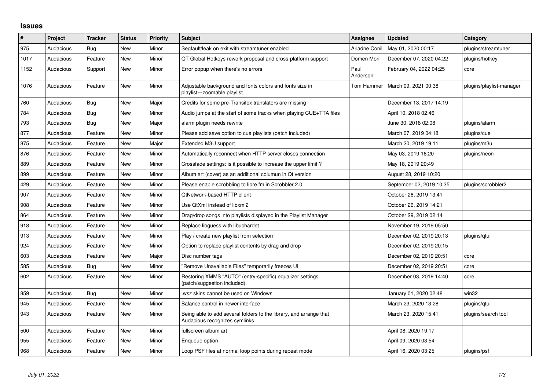## **Issues**

| #    | <b>Project</b> | <b>Tracker</b> | <b>Status</b> | <b>Priority</b> | <b>Subject</b>                                                                                      | <b>Assignee</b>  | Updated                  | Category                 |
|------|----------------|----------------|---------------|-----------------|-----------------------------------------------------------------------------------------------------|------------------|--------------------------|--------------------------|
| 975  | Audacious      | Bug            | <b>New</b>    | Minor           | Segfault/leak on exit with streamtuner enabled                                                      | Ariadne Conill   | May 01, 2020 00:17       | plugins/streamtuner      |
| 1017 | Audacious      | Feature        | <b>New</b>    | Minor           | QT Global Hotkeys rework proposal and cross-platform support                                        | Domen Mori       | December 07, 2020 04:22  | plugins/hotkey           |
| 1152 | Audacious      | Support        | New           | Minor           | Error popup when there's no errors                                                                  | Paul<br>Anderson | February 04, 2022 04:25  | core                     |
| 1076 | Audacious      | Feature        | New           | Minor           | Adjustable background and fonts colors and fonts size in<br>playlist---zoomable playlist            | Tom Hammer       | March 09, 2021 00:38     | plugins/playlist-manager |
| 760  | Audacious      | <b>Bug</b>     | New           | Major           | Credits for some pre-Transifex translators are missing                                              |                  | December 13, 2017 14:19  |                          |
| 784  | Audacious      | <b>Bug</b>     | <b>New</b>    | Minor           | Audio jumps at the start of some tracks when playing CUE+TTA files                                  |                  | April 10, 2018 02:46     |                          |
| 793  | Audacious      | <b>Bug</b>     | <b>New</b>    | Major           | alarm plugin needs rewrite                                                                          |                  | June 30, 2018 02:08      | plugins/alarm            |
| 877  | Audacious      | Feature        | New           | Minor           | Please add save option to cue playlists (patch included)                                            |                  | March 07, 2019 04:18     | plugins/cue              |
| 875  | Audacious      | Feature        | New           | Major           | Extended M3U support                                                                                |                  | March 20, 2019 19:11     | plugins/m3u              |
| 876  | Audacious      | Feature        | New           | Minor           | Automatically reconnect when HTTP server closes connection                                          |                  | May 03, 2019 16:20       | plugins/neon             |
| 889  | Audacious      | Feature        | <b>New</b>    | Minor           | Crossfade settings: is it possible to increase the upper limit?                                     |                  | May 18, 2019 20:49       |                          |
| 899  | Audacious      | Feature        | <b>New</b>    | Minor           | Album art (cover) as an additional columun in Qt version                                            |                  | August 28, 2019 10:20    |                          |
| 429  | Audacious      | Feature        | New           | Minor           | Please enable scrobbling to libre.fm in Scrobbler 2.0                                               |                  | September 02, 2019 10:35 | plugins/scrobbler2       |
| 907  | Audacious      | Feature        | <b>New</b>    | Minor           | <b>QtNetwork-based HTTP client</b>                                                                  |                  | October 26, 2019 13:41   |                          |
| 908  | Audacious      | Feature        | <b>New</b>    | Minor           | Use QtXml instead of libxml2                                                                        |                  | October 26, 2019 14:21   |                          |
| 864  | Audacious      | Feature        | <b>New</b>    | Minor           | Drag/drop songs into playlists displayed in the Playlist Manager                                    |                  | October 29, 2019 02:14   |                          |
| 918  | Audacious      | Feature        | <b>New</b>    | Minor           | Replace libguess with libuchardet                                                                   |                  | November 19, 2019 05:50  |                          |
| 913  | Audacious      | Feature        | <b>New</b>    | Minor           | Play / create new playlist from selection                                                           |                  | December 02, 2019 20:13  | plugins/qtui             |
| 924  | Audacious      | Feature        | <b>New</b>    | Minor           | Option to replace playlist contents by drag and drop                                                |                  | December 02, 2019 20:15  |                          |
| 603  | Audacious      | Feature        | <b>New</b>    | Major           | Disc number tags                                                                                    |                  | December 02, 2019 20:51  | core                     |
| 585  | Audacious      | Bug            | <b>New</b>    | Minor           | "Remove Unavailable Files" temporarily freezes UI                                                   |                  | December 02, 2019 20:51  | core                     |
| 602  | Audacious      | Feature        | <b>New</b>    | Minor           | Restoring XMMS "AUTO" (entry-specific) equalizer settings<br>(patch/suggestion included).           |                  | December 03, 2019 14:40  | core                     |
| 859  | Audacious      | Bug            | <b>New</b>    | Minor           | wsz skins cannot be used on Windows                                                                 |                  | January 01, 2020 02:48   | win32                    |
| 945  | Audacious      | Feature        | <b>New</b>    | Minor           | Balance control in newer interface                                                                  |                  | March 23, 2020 13:28     | plugins/qtui             |
| 943  | Audacious      | Feature        | New           | Minor           | Being able to add several folders to the library, and arrange that<br>Audacious recognizes symlinks |                  | March 23, 2020 15:41     | plugins/search tool      |
| 500  | Audacious      | Feature        | <b>New</b>    | Minor           | fullscreen album art                                                                                |                  | April 08, 2020 19:17     |                          |
| 955  | Audacious      | Feature        | New           | Minor           | Enqueue option                                                                                      |                  | April 09, 2020 03:54     |                          |
| 968  | Audacious      | Feature        | <b>New</b>    | Minor           | Loop PSF files at normal loop points during repeat mode                                             |                  | April 16, 2020 03:25     | plugins/psf              |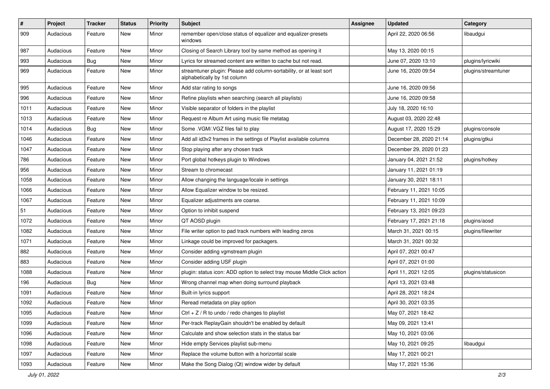| $\vert$ # | Project   | <b>Tracker</b> | <b>Status</b> | <b>Priority</b> | <b>Subject</b>                                                                                      | <b>Assignee</b> | <b>Updated</b>          | Category            |
|-----------|-----------|----------------|---------------|-----------------|-----------------------------------------------------------------------------------------------------|-----------------|-------------------------|---------------------|
| 909       | Audacious | Feature        | New           | Minor           | remember open/close status of equalizer and equalizer-presets<br>windows                            |                 | April 22, 2020 06:56    | libaudgui           |
| 987       | Audacious | Feature        | New           | Minor           | Closing of Search Library tool by same method as opening it                                         |                 | May 13, 2020 00:15      |                     |
| 993       | Audacious | Bug            | New           | Minor           | Lyrics for streamed content are written to cache but not read.                                      |                 | June 07, 2020 13:10     | plugins/lyricwiki   |
| 969       | Audacious | Feature        | New           | Minor           | streamtuner plugin: Please add column-sortability, or at least sort<br>alphabetically by 1st column |                 | June 16, 2020 09:54     | plugins/streamtuner |
| 995       | Audacious | Feature        | New           | Minor           | Add star rating to songs                                                                            |                 | June 16, 2020 09:56     |                     |
| 996       | Audacious | Feature        | New           | Minor           | Refine playlists when searching (search all playlists)                                              |                 | June 16, 2020 09:58     |                     |
| 1011      | Audacious | Feature        | New           | Minor           | Visible separator of folders in the playlist                                                        |                 | July 18, 2020 16:10     |                     |
| 1013      | Audacious | Feature        | New           | Minor           | Request re Album Art using music file metatag                                                       |                 | August 03, 2020 22:48   |                     |
| 1014      | Audacious | Bug            | New           | Minor           | Some .VGM/.VGZ files fail to play                                                                   |                 | August 17, 2020 15:29   | plugins/console     |
| 1046      | Audacious | Feature        | New           | Minor           | Add all id3v2 frames in the settings of Playlist available columns                                  |                 | December 28, 2020 21:14 | plugins/gtkui       |
| 1047      | Audacious | Feature        | New           | Minor           | Stop playing after any chosen track                                                                 |                 | December 29, 2020 01:23 |                     |
| 786       | Audacious | Feature        | New           | Minor           | Port global hotkeys plugin to Windows                                                               |                 | January 04, 2021 21:52  | plugins/hotkey      |
| 956       | Audacious | Feature        | New           | Minor           | Stream to chromecast                                                                                |                 | January 11, 2021 01:19  |                     |
| 1058      | Audacious | Feature        | New           | Minor           | Allow changing the language/locale in settings                                                      |                 | January 30, 2021 18:11  |                     |
| 1066      | Audacious | Feature        | New           | Minor           | Allow Equalizer window to be resized.                                                               |                 | February 11, 2021 10:05 |                     |
| 1067      | Audacious | Feature        | New           | Minor           | Equalizer adjustments are coarse.                                                                   |                 | February 11, 2021 10:09 |                     |
| 51        | Audacious | Feature        | New           | Minor           | Option to inhibit suspend                                                                           |                 | February 13, 2021 09:23 |                     |
| 1072      | Audacious | Feature        | New           | Minor           | QT AOSD plugin                                                                                      |                 | February 17, 2021 21:18 | plugins/aosd        |
| 1082      | Audacious | Feature        | New           | Minor           | File writer option to pad track numbers with leading zeros                                          |                 | March 31, 2021 00:15    | plugins/filewriter  |
| 1071      | Audacious | Feature        | New           | Minor           | Linkage could be improved for packagers.                                                            |                 | March 31, 2021 00:32    |                     |
| 882       | Audacious | Feature        | New           | Minor           | Consider adding vgmstream plugin                                                                    |                 | April 07, 2021 00:47    |                     |
| 883       | Audacious | Feature        | New           | Minor           | Consider adding USF plugin                                                                          |                 | April 07, 2021 01:00    |                     |
| 1088      | Audacious | Feature        | New           | Minor           | plugin: status icon: ADD option to select tray mouse Middle Click action                            |                 | April 11, 2021 12:05    | plugins/statusicon  |
| 196       | Audacious | Bug            | New           | Minor           | Wrong channel map when doing surround playback                                                      |                 | April 13, 2021 03:48    |                     |
| 1091      | Audacious | Feature        | New           | Minor           | Built-in lyrics support                                                                             |                 | April 28, 2021 18:24    |                     |
| 1092      | Audacious | Feature        | <b>New</b>    | Minor           | Reread metadata on play option                                                                      |                 | April 30, 2021 03:35    |                     |
| 1095      | Audacious | Feature        | New           | Minor           | Ctrl $+$ Z / R to undo / redo changes to playlist                                                   |                 | May 07, 2021 18:42      |                     |
| 1099      | Audacious | Feature        | New           | Minor           | Per-track ReplayGain shouldn't be enabled by default                                                |                 | May 09, 2021 13:41      |                     |
| 1096      | Audacious | Feature        | New           | Minor           | Calculate and show selection stats in the status bar                                                |                 | May 10, 2021 03:06      |                     |
| 1098      | Audacious | Feature        | New           | Minor           | Hide empty Services playlist sub-menu                                                               |                 | May 10, 2021 09:25      | libaudgui           |
| 1097      | Audacious | Feature        | New           | Minor           | Replace the volume button with a horizontal scale                                                   |                 | May 17, 2021 00:21      |                     |
| 1093      | Audacious | Feature        | New           | Minor           | Make the Song Dialog (Qt) window wider by default                                                   |                 | May 17, 2021 15:36      |                     |